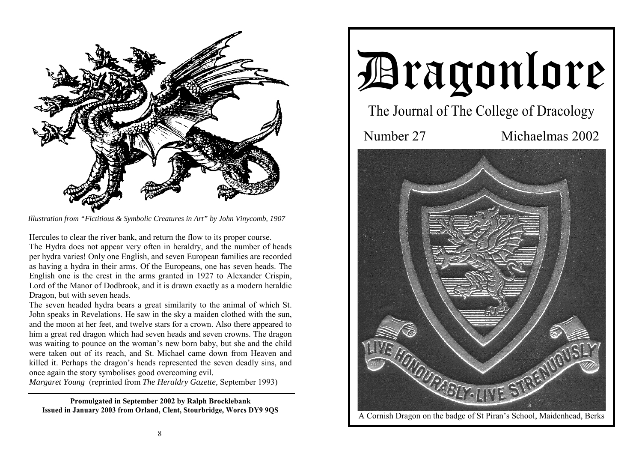

*Illustration from "Fictitious & Symbolic Creatures in Art" by John Vinycomb, 1907* 

Hercules to clear the river bank, and return the flow to its proper course. The Hydra does not appear very often in heraldry, and the number of heads per hydra varies! Only one English, and seven European families are recorded as having a hydra in their arms. Of the Europeans, one has seven heads. The English one is the crest in the arms granted in 1927 to Alexander Crispin, Lord of the Manor of Dodbrook, and it is drawn exactly as a modern heraldic Dragon, but with seven heads.

The seven headed hydra bears a great similarity to the animal of which St. John speaks in Revelations. He saw in the sky a maiden clothed with the sun, and the moon at her feet, and twelve stars for a crown. Also there appeared to him a great red dragon which had seven heads and seven crowns. The dragon was waiting to pounce on the woman's new born baby, but she and the child were taken out of its reach, and St. Michael came down from Heaven and killed it. Perhaps the dragon's heads represented the seven deadly sins, and once again the story symbolises good overcoming evil.

*Margaret Young* (reprinted from *The Heraldry Gazette,* September 1993)

**Promulgated in September 2002 by Ralph Brocklebank Issued in January 2003 from Orland, Clent, Stourbridge, Worcs DY9 9QS** 

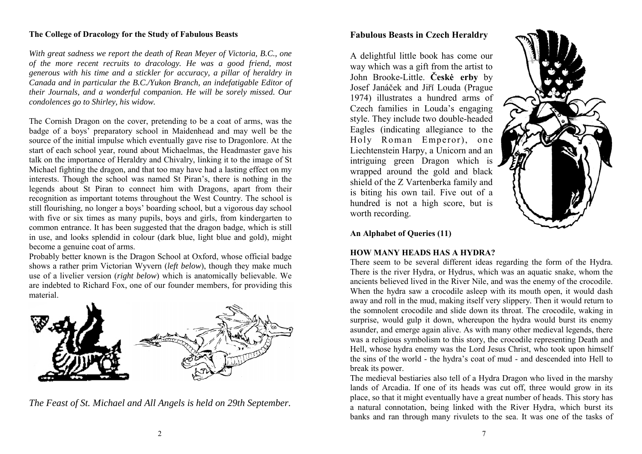### **The College of Dracology for the Study of Fabulous Beasts**

*With great sadness we report the death of Rean Meyer of Victoria, B.C., one of the more recent recruits to dracology. He was a good friend, most generous with his time and a stickler for accuracy, a pillar of heraldry in Canada and in particular the B.C./Yukon Branch, an indefatigable Editor of their Journals, and a wonderful companion. He will be sorely missed. Our condolences go to Shirley, his widow.* 

The Cornish Dragon on the cover, pretending to be a coat of arms, was the badge of a boys' preparatory school in Maidenhead and may well be the source of the initial impulse which eventually gave rise to Dragonlore. At the start of each school year, round about Michaelmas, the Headmaster gave his talk on the importance of Heraldry and Chivalry, linking it to the image of St Michael fighting the dragon, and that too may have had a lasting effect on my interests. Though the school was named St Piran's, there is nothing in the legends about St Piran to connect him with Dragons, apart from their recognition as important totems throughout the West Country. The school is still flourishing, no longer a boys' boarding school, but a vigorous day school with five or six times as many pupils, boys and girls, from kindergarten to common entrance. It has been suggested that the dragon badge, which is still in use, and looks splendid in colour (dark blue, light blue and gold), might become a genuine coat of arms.

Probably better known is the Dragon School at Oxford, whose official badge shows a rather prim Victorian Wyvern (*left below*), though they make much use of a livelier version (*right below*) which is anatomically believable. We are indebted to Richard Fox, one of our founder members, for providing this material.



*The Feast of St. Michael and All Angels is held on 29th September.* 

# **Fabulous Beasts in Czech Heraldry**

A delightful little book has come our way which was a gift from the artist to John Brooke-Little. **Českė erby** by Josef Janáček and Jiřĭ Louda (Prague 1974) illustrates a hundred arms of Czech families in Louda's engaging style. They include two double-headed Eagles (indicating allegiance to the Holy Roman Emperor), one Liechtenstein Harpy, a Unicorn and an intriguing green Dragon which is wrapped around the gold and black shield of the Z Vartenberka family and is biting his own tail. Five out of a hundred is not a high score, but is worth recording.



**An Alphabet of Queries (11)**

# **HOW MANY HEADS HAS A HYDRA?**

There seem to be several different ideas regarding the form of the Hydra. There is the river Hydra, or Hydrus, which was an aquatic snake, whom the ancients believed lived in the River Nile, and was the enemy of the crocodile. When the hydra saw a crocodile asleep with its mouth open, it would dash away and roll in the mud, making itself very slippery. Then it would return to the somnolent crocodile and slide down its throat. The crocodile, waking in surprise, would gulp it down, whereupon the hydra would burst its enemy asunder, and emerge again alive. As with many other medieval legends, there was a religious symbolism to this story, the crocodile representing Death and Hell, whose hydra enemy was the Lord Jesus Christ, who took upon himself the sins of the world - the hydra's coat of mud - and descended into Hell to break its power.

The medieval bestiaries also tell of a Hydra Dragon who lived in the marshy lands of Arcadia. If one of its heads was cut off, three would grow in its place, so that it might eventually have a great number of heads. This story has a natural connotation, being linked with the River Hydra, which burst its banks and ran through many rivulets to the sea. It was one of the tasks of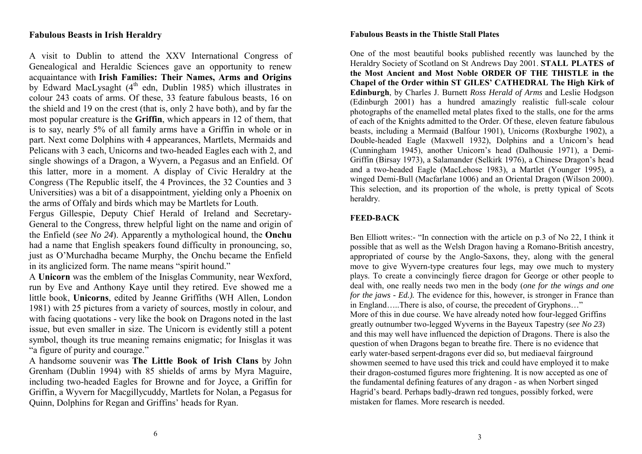# **Fabulous Beasts in Irish Heraldry**

A visit to Dublin to attend the XXV International Congress of Genealogical and Heraldic Sciences gave an opportunity to renew acquaintance with **Irish Families: Their Names, Arms and Origins** by Edward MacLysaght  $(4<sup>th</sup>$  edn, Dublin 1985) which illustrates in colour 243 coats of arms. Of these, 33 feature fabulous beasts, 16 on the shield and 19 on the crest (that is, only 2 have both), and by far the most popular creature is the **Griffin**, which appears in 12 of them, that is to say, nearly 5% of all family arms have a Griffin in whole or in part. Next come Dolphins with 4 appearances, Martlets, Mermaids and Pelicans with 3 each, Unicorns and two-headed Eagles each with 2, and single showings of a Dragon, a Wyvern, a Pegasus and an Enfield. Of this latter, more in a moment. A display of Civic Heraldry at the Congress (The Republic itself, the 4 Provinces, the 32 Counties and 3 Universities) was a bit of a disappointment, yielding only a Phoenix on the arms of Offaly and birds which may be Martlets for Louth.

Fergus Gillespie, Deputy Chief Herald of Ireland and Secretary-General to the Congress, threw helpful light on the name and origin of the Enfield (*see No 24*). Apparently a mythological hound, the **Onchu** had a name that English speakers found difficulty in pronouncing, so, just as O'Murchadha became Murphy, the Onchu became the Enfield in its anglicized form. The name means "spirit hound."

A **Unicorn** was the emblem of the Inisglas Community, near Wexford, run by Eve and Anthony Kaye until they retired. Eve showed me a little book, **Unicorns**, edited by Jeanne Griffiths (WH Allen, London 1981) with 25 pictures from a variety of sources, mostly in colour, and with facing quotations - very like the book on Dragons noted in the last issue, but even smaller in size. The Unicorn is evidently still a potent symbol, though its true meaning remains enigmatic; for Inisglas it was "a figure of purity and courage."

A handsome souvenir was **The Little Book of Irish Clans** by John Grenham (Dublin 1994) with 85 shields of arms by Myra Maguire, including two-headed Eagles for Browne and for Joyce, a Griffin for Griffin, a Wyvern for Macgillycuddy, Martlets for Nolan, a Pegasus for Quinn, Dolphins for Regan and Griffins' heads for Ryan.

#### **Fabulous Beasts in the Thistle Stall Plates**

One of the most beautiful books published recently was launched by the Heraldry Society of Scotland on St Andrews Day 2001. **STALL PLATES of the Most Ancient and Most Noble ORDER OF THE THISTLE in the Chapel of the Order within ST GILES' CATHEDRAL The High Kirk of Edinburgh**, by Charles J. Burnett *Ross Herald of Arms* and Leslie Hodgson (Edinburgh 2001) has a hundred amazingly realistic full-scale colour photographs of the enamelled metal plates fixed to the stalls, one for the arms of each of the Knights admitted to the Order. Of these, eleven feature fabulous beasts, including a Mermaid (Balfour 1901), Unicorns (Roxburghe 1902), a Double-headed Eagle (Maxwell 1932), Dolphins and a Unicorn's head (Cunningham 1945), another Unicorn's head (Dalhousie 1971), a Demi-Griffin (Birsay 1973), a Salamander (Selkirk 1976), a Chinese Dragon's head and a two-headed Eagle (MacLehose 1983), a Martlet (Younger 1995), a winged Demi-Bull (Macfarlane 1006) and an Oriental Dragon (Wilson 2000). This selection, and its proportion of the whole, is pretty typical of Scots heraldry.

## **FEED-BACK**

Ben Elliott writes:- "In connection with the article on p.3 of No 22, I think it possible that as well as the Welsh Dragon having a Romano-British ancestry, appropriated of course by the Anglo-Saxons, they, along with the general move to give Wyvern-type creatures four legs, may owe much to mystery plays. To create a convincingly fierce dragon for George or other people to deal with, one really needs two men in the body (*one for the wings and one for the jaws - Ed.*). The evidence for this, however, is stronger in France than in England…..There is also, of course, the precedent of Gryphons…" More of this in due course. We have already noted how four-legged Griffins greatly outnumber two-legged Wyverns in the Bayeux Tapestry (*see No 23*) and this may well have influenced the depiction of Dragons. There is also the question of when Dragons began to breathe fire. There is no evidence that early water-based serpent-dragons ever did so, but mediaeval fairground showmen seemed to have used this trick and could have employed it to make their dragon-costumed figures more frightening. It is now accepted as one of the fundamental defining features of any dragon - as when Norbert singed Hagrid's beard. Perhaps badly-drawn red tongues, possibly forked, were mistaken for flames. More research is needed.